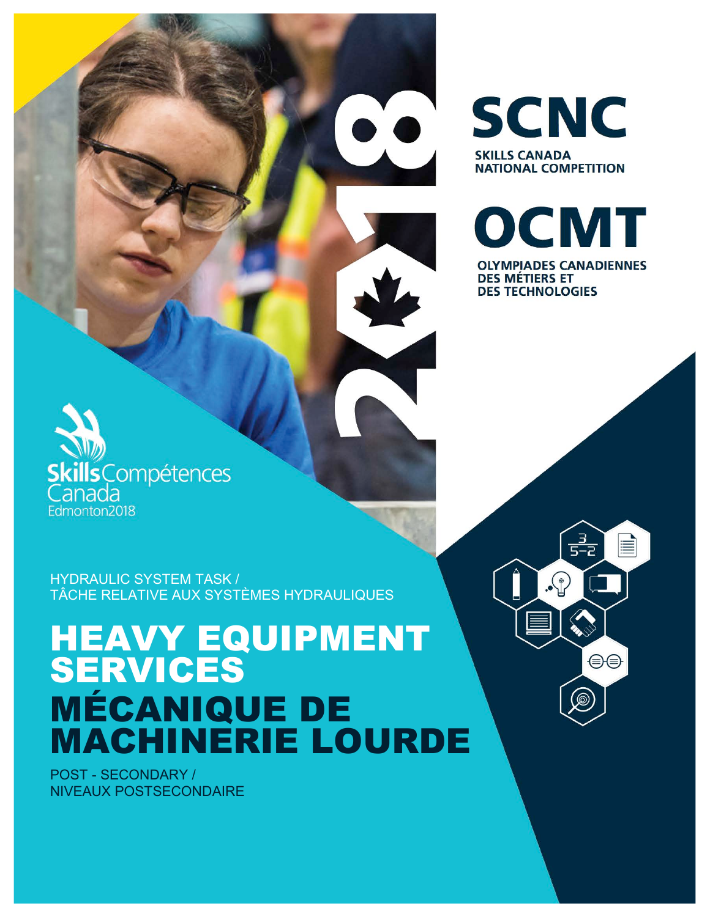HYDRAULIC SYSTEM TASK / TÂCHE RELATIVE AUX SYSTÈMES HYDRAULIQUES

# HEAVY EQUIPMENT SERVICES MÉCANIQUE DE MACHINERIE LOURDE

POST - SECONDARY / NIVEAUX POSTSECONDAIRE

**cills**Compétences

anada Edmonton2018



**SCNC** 

**NATIONAL COMPETITION** 

**SKILLS CANADA** 

**OLYMPIADES CANADIENNES DES MÉTIERS ET DES TECHNOLOGIES** 

> $\frac{3}{5-2}$ ≣  $\Omega$ . ⊖⊜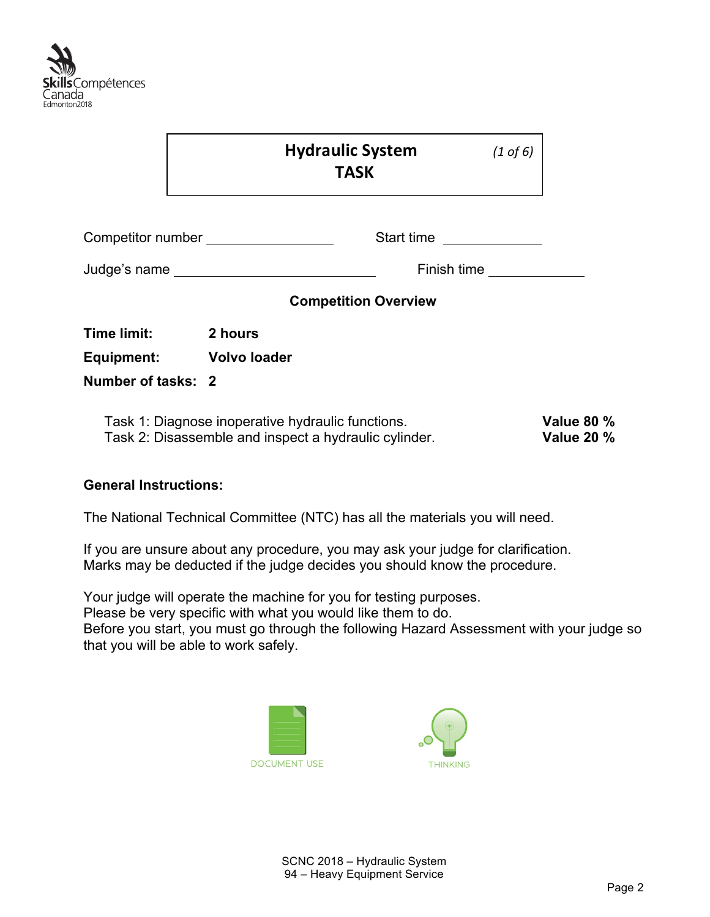

|                         | <b>Hydraulic System</b><br><b>TASK</b>                                                                     |            | $(1 \text{ of } 6)$                    |
|-------------------------|------------------------------------------------------------------------------------------------------------|------------|----------------------------------------|
|                         | Competitor number __________________                                                                       | Start time |                                        |
|                         |                                                                                                            |            | Finish time                            |
|                         | <b>Competition Overview</b>                                                                                |            |                                        |
| Time limit:             | 2 hours                                                                                                    |            |                                        |
| Equipment: Volvo loader |                                                                                                            |            |                                        |
| Number of tasks: 2      |                                                                                                            |            |                                        |
|                         | Task 1: Diagnose inoperative hydraulic functions.<br>Task 2: Disassemble and inspect a hydraulic cylinder. |            | <b>Value 80 %</b><br><b>Value 20 %</b> |

#### **General Instructions:**

The National Technical Committee (NTC) has all the materials you will need.

If you are unsure about any procedure, you may ask your judge for clarification. Marks may be deducted if the judge decides you should know the procedure.

Your judge will operate the machine for you for testing purposes.

Please be very specific with what you would like them to do.

Before you start, you must go through the following Hazard Assessment with your judge so that you will be able to work safely.



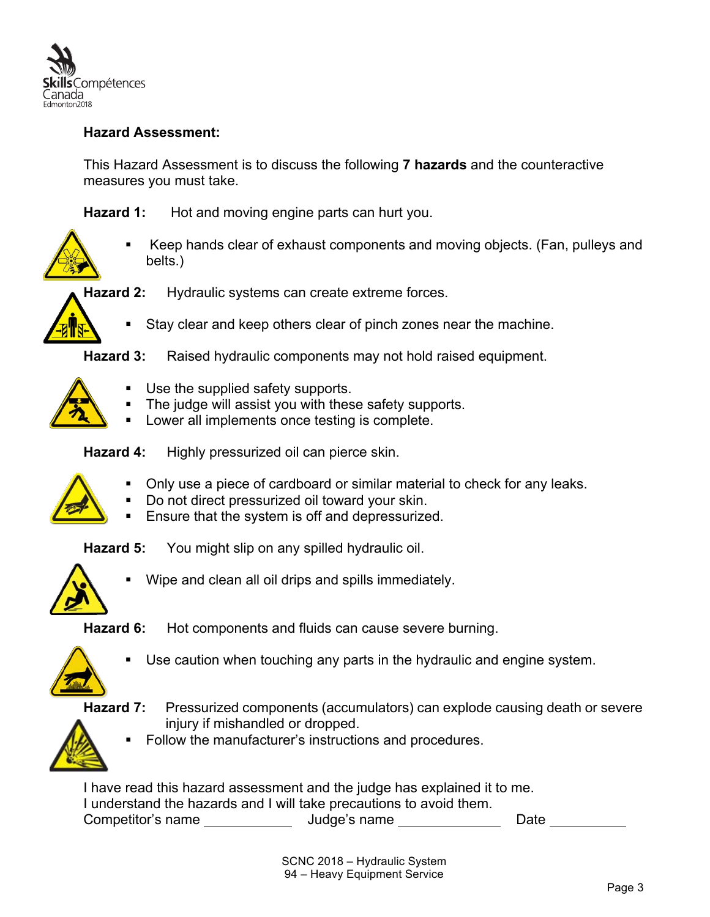

#### **Hazard Assessment:**

This Hazard Assessment is to discuss the following **7 hazards** and the counteractive measures you must take.

**Hazard 1:** Hot and moving engine parts can hurt you.



§ Keep hands clear of exhaust components and moving objects. (Fan, pulleys and belts.)

**Hazard 2:** Hydraulic systems can create extreme forces.



Stay clear and keep others clear of pinch zones near the machine.

**Hazard 3:** Raised hydraulic components may not hold raised equipment.



- Use the supplied safety supports.
- The judge will assist you with these safety supports.
- Lower all implements once testing is complete.

**Hazard 4:** Highly pressurized oil can pierce skin.



- § Only use a piece of cardboard or similar material to check for any leaks.
- Do not direct pressurized oil toward your skin.
- Ensure that the system is off and depressurized.

**Hazard 5:** You might slip on any spilled hydraulic oil.



Wipe and clean all oil drips and spills immediately.

**Hazard 6:** Hot components and fluids can cause severe burning.



Use caution when touching any parts in the hydraulic and engine system.

**Hazard 7:** Pressurized components (accumulators) can explode causing death or severe injury if mishandled or dropped.



Follow the manufacturer's instructions and procedures.

I have read this hazard assessment and the judge has explained it to me. I understand the hazards and I will take precautions to avoid them. Competitor's name Judge's name Date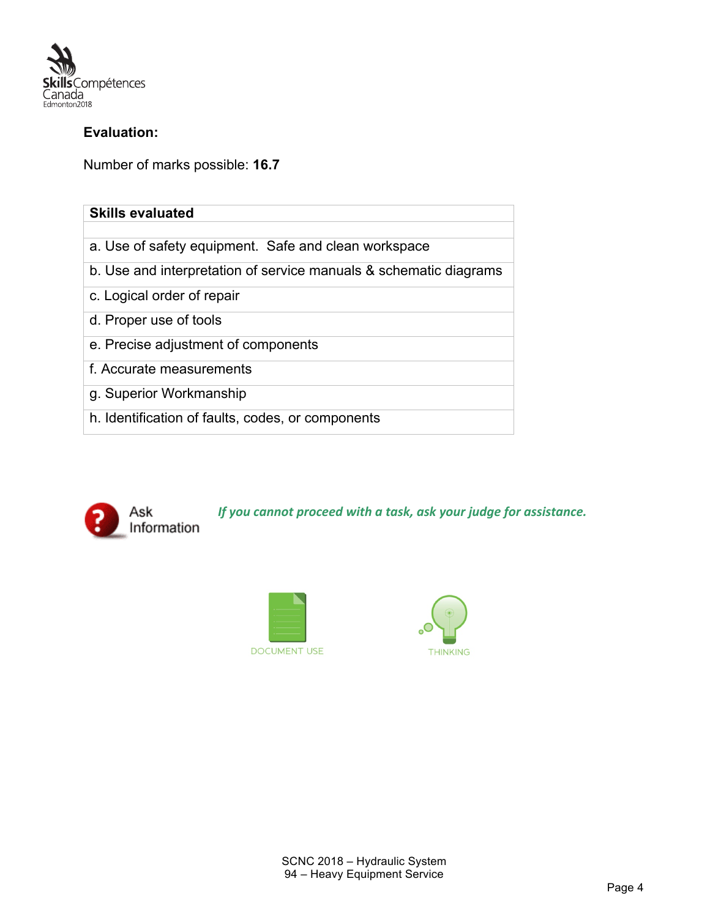

#### **Evaluation:**

Number of marks possible: **16.7**

| <b>Skills evaluated</b>                                           |
|-------------------------------------------------------------------|
|                                                                   |
| a. Use of safety equipment. Safe and clean workspace              |
| b. Use and interpretation of service manuals & schematic diagrams |
| c. Logical order of repair                                        |
| d. Proper use of tools                                            |
| e. Precise adjustment of components                               |
| f. Accurate measurements                                          |
| g. Superior Workmanship                                           |
| h. Identification of faults, codes, or components                 |



*If you cannot proceed with a task, ask your judge for assistance.* 



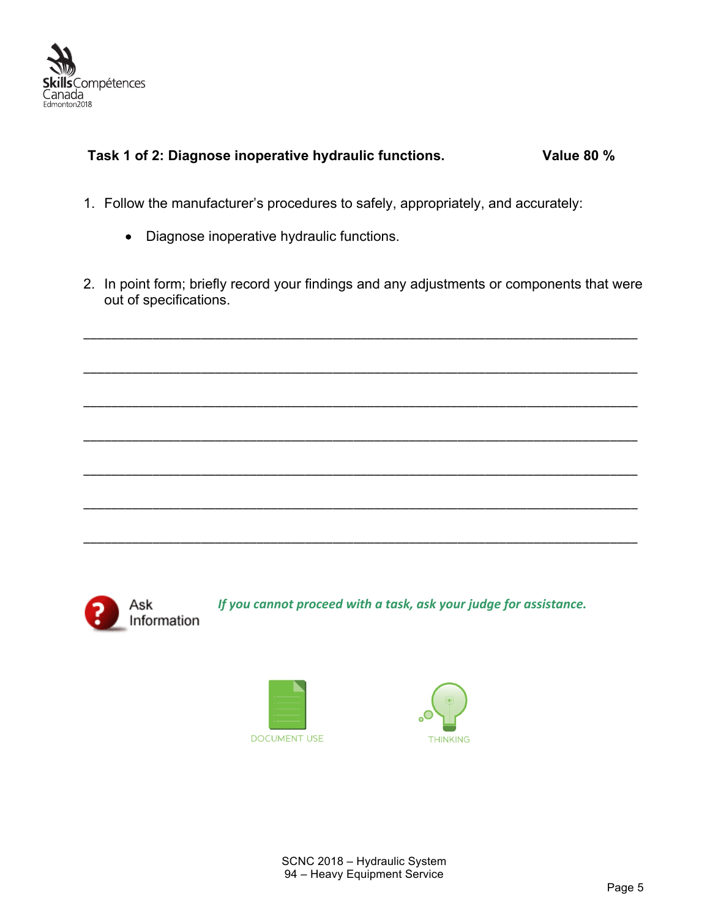

### **Task 1 of 2: Diagnose inoperative hydraulic functions. Value 80 %**

- 1. Follow the manufacturer's procedures to safely, appropriately, and accurately:
	- Diagnose inoperative hydraulic functions.
- 2. In point form; briefly record your findings and any adjustments or components that were out of specifications.

\_\_\_\_\_\_\_\_\_\_\_\_\_\_\_\_\_\_\_\_\_\_\_\_\_\_\_\_\_\_\_\_\_\_\_\_\_\_\_\_\_\_\_\_\_\_\_\_\_\_\_\_\_\_\_\_\_\_\_\_\_\_\_\_\_\_\_\_\_\_\_\_\_\_\_\_\_\_\_\_

\_\_\_\_\_\_\_\_\_\_\_\_\_\_\_\_\_\_\_\_\_\_\_\_\_\_\_\_\_\_\_\_\_\_\_\_\_\_\_\_\_\_\_\_\_\_\_\_\_\_\_\_\_\_\_\_\_\_\_\_\_\_\_\_\_\_\_\_\_\_\_\_\_\_\_\_\_\_\_\_ \_\_\_\_\_\_\_\_\_\_\_\_\_\_\_\_\_\_\_\_\_\_\_\_\_\_\_\_\_\_\_\_\_\_\_\_\_\_\_\_\_\_\_\_\_\_\_\_\_\_\_\_\_\_\_\_\_\_\_\_\_\_\_\_\_\_\_\_\_\_\_\_\_\_\_\_\_\_\_\_ \_\_\_\_\_\_\_\_\_\_\_\_\_\_\_\_\_\_\_\_\_\_\_\_\_\_\_\_\_\_\_\_\_\_\_\_\_\_\_\_\_\_\_\_\_\_\_\_\_\_\_\_\_\_\_\_\_\_\_\_\_\_\_\_\_\_\_\_\_\_\_\_\_\_\_\_\_\_\_\_ \_\_\_\_\_\_\_\_\_\_\_\_\_\_\_\_\_\_\_\_\_\_\_\_\_\_\_\_\_\_\_\_\_\_\_\_\_\_\_\_\_\_\_\_\_\_\_\_\_\_\_\_\_\_\_\_\_\_\_\_\_\_\_\_\_\_\_\_\_\_\_\_\_\_\_\_\_\_\_\_ \_\_\_\_\_\_\_\_\_\_\_\_\_\_\_\_\_\_\_\_\_\_\_\_\_\_\_\_\_\_\_\_\_\_\_\_\_\_\_\_\_\_\_\_\_\_\_\_\_\_\_\_\_\_\_\_\_\_\_\_\_\_\_\_\_\_\_\_\_\_\_\_\_\_\_\_\_\_\_\_ \_\_\_\_\_\_\_\_\_\_\_\_\_\_\_\_\_\_\_\_\_\_\_\_\_\_\_\_\_\_\_\_\_\_\_\_\_\_\_\_\_\_\_\_\_\_\_\_\_\_\_\_\_\_\_\_\_\_\_\_\_\_\_\_\_\_\_\_\_\_\_\_\_\_\_\_\_\_\_\_



*If you cannot proceed with a task, ask your judge for assistance.* 



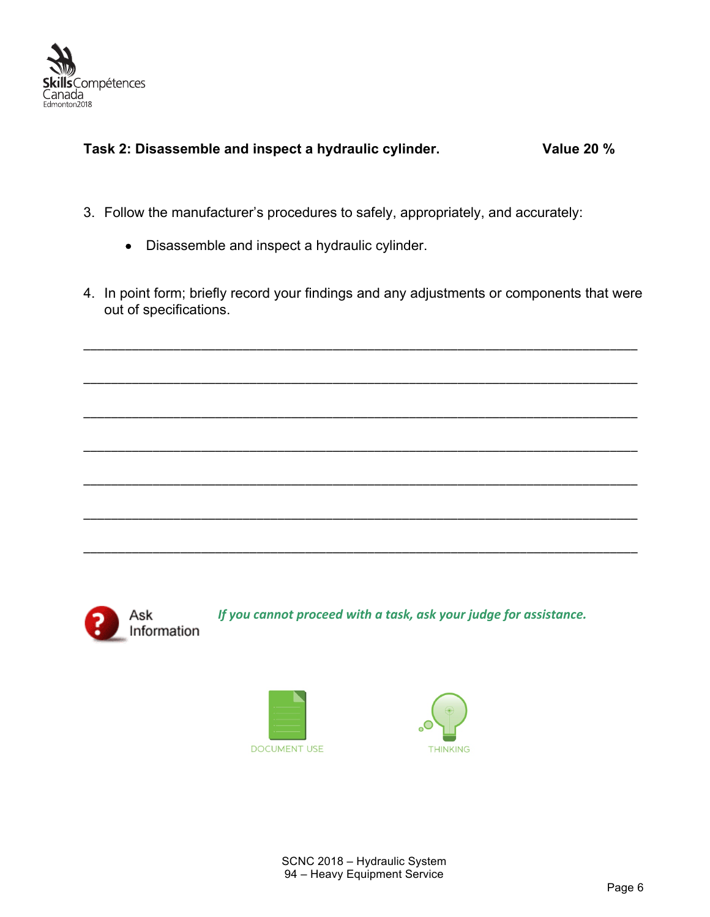

#### **Task 2: Disassemble and inspect a hydraulic cylinder. Value 20 %**

- 3. Follow the manufacturer's procedures to safely, appropriately, and accurately:
	- Disassemble and inspect a hydraulic cylinder.
- 4. In point form; briefly record your findings and any adjustments or components that were out of specifications.

\_\_\_\_\_\_\_\_\_\_\_\_\_\_\_\_\_\_\_\_\_\_\_\_\_\_\_\_\_\_\_\_\_\_\_\_\_\_\_\_\_\_\_\_\_\_\_\_\_\_\_\_\_\_\_\_\_\_\_\_\_\_\_\_\_\_\_\_\_\_\_\_\_\_\_\_\_\_\_\_

\_\_\_\_\_\_\_\_\_\_\_\_\_\_\_\_\_\_\_\_\_\_\_\_\_\_\_\_\_\_\_\_\_\_\_\_\_\_\_\_\_\_\_\_\_\_\_\_\_\_\_\_\_\_\_\_\_\_\_\_\_\_\_\_\_\_\_\_\_\_\_\_\_\_\_\_\_\_\_\_

\_\_\_\_\_\_\_\_\_\_\_\_\_\_\_\_\_\_\_\_\_\_\_\_\_\_\_\_\_\_\_\_\_\_\_\_\_\_\_\_\_\_\_\_\_\_\_\_\_\_\_\_\_\_\_\_\_\_\_\_\_\_\_\_\_\_\_\_\_\_\_\_\_\_\_\_\_\_\_\_

\_\_\_\_\_\_\_\_\_\_\_\_\_\_\_\_\_\_\_\_\_\_\_\_\_\_\_\_\_\_\_\_\_\_\_\_\_\_\_\_\_\_\_\_\_\_\_\_\_\_\_\_\_\_\_\_\_\_\_\_\_\_\_\_\_\_\_\_\_\_\_\_\_\_\_\_\_\_\_\_

\_\_\_\_\_\_\_\_\_\_\_\_\_\_\_\_\_\_\_\_\_\_\_\_\_\_\_\_\_\_\_\_\_\_\_\_\_\_\_\_\_\_\_\_\_\_\_\_\_\_\_\_\_\_\_\_\_\_\_\_\_\_\_\_\_\_\_\_\_\_\_\_\_\_\_\_\_\_\_\_

\_\_\_\_\_\_\_\_\_\_\_\_\_\_\_\_\_\_\_\_\_\_\_\_\_\_\_\_\_\_\_\_\_\_\_\_\_\_\_\_\_\_\_\_\_\_\_\_\_\_\_\_\_\_\_\_\_\_\_\_\_\_\_\_\_\_\_\_\_\_\_\_\_\_\_\_\_\_\_\_

\_\_\_\_\_\_\_\_\_\_\_\_\_\_\_\_\_\_\_\_\_\_\_\_\_\_\_\_\_\_\_\_\_\_\_\_\_\_\_\_\_\_\_\_\_\_\_\_\_\_\_\_\_\_\_\_\_\_\_\_\_\_\_\_\_\_\_\_\_\_\_\_\_\_\_\_\_\_\_\_



*If you cannot proceed with a task, ask your judge for assistance.*